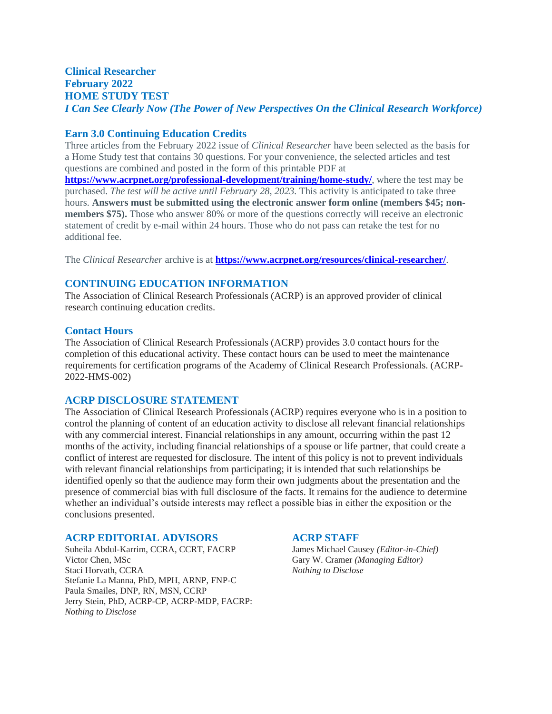#### **Clinical Researcher February 2022 HOME STUDY TEST** *I Can See Clearly Now (The Power of New Perspectives On the Clinical Research Workforce)*

#### **Earn 3.0 Continuing Education Credits**

Three articles from the February 2022 issue of *Clinical Researcher* have been selected as the basis for a Home Study test that contains 30 questions. For your convenience, the selected articles and test questions are combined and posted in the form of this printable PDF at **<https://www.acrpnet.org/professional-development/training/home-study/>**, where the test may be purchased. *The test will be active until February 28, 2023.* This activity is anticipated to take three hours. **Answers must be submitted using the electronic answer form online (members \$45; nonmembers \$75).** Those who answer 80% or more of the questions correctly will receive an electronic statement of credit by e-mail within 24 hours. Those who do not pass can retake the test for no additional fee.

The *Clinical Researcher* archive is at **<https://www.acrpnet.org/resources/clinical-researcher/>**.

#### **CONTINUING EDUCATION INFORMATION**

The Association of Clinical Research Professionals (ACRP) is an approved provider of clinical research continuing education credits.

#### **Contact Hours**

The Association of Clinical Research Professionals (ACRP) provides 3.0 contact hours for the completion of this educational activity. These contact hours can be used to meet the maintenance requirements for certification programs of the Academy of Clinical Research Professionals. (ACRP-2022-HMS-002)

#### **ACRP DISCLOSURE STATEMENT**

The Association of Clinical Research Professionals (ACRP) requires everyone who is in a position to control the planning of content of an education activity to disclose all relevant financial relationships with any commercial interest. Financial relationships in any amount, occurring within the past 12 months of the activity, including financial relationships of a spouse or life partner, that could create a conflict of interest are requested for disclosure. The intent of this policy is not to prevent individuals with relevant financial relationships from participating; it is intended that such relationships be identified openly so that the audience may form their own judgments about the presentation and the presence of commercial bias with full disclosure of the facts. It remains for the audience to determine whether an individual's outside interests may reflect a possible bias in either the exposition or the conclusions presented.

#### **ACRP EDITORIAL ADVISORS ACRP STAFF**

Suheila Abdul-Karrim, CCRA, CCRT, FACRP James Michael Causey *(Editor-in-Chief)* Victor Chen, MSc Gary W. Cramer *(Managing Editor)* Gary W. Cramer *(Managing Editor)* Staci Horvath, CCRA *Nothing to Disclose* Stefanie La Manna, PhD, MPH, ARNP, FNP-C Paula Smailes, DNP, RN, MSN, CCRP Jerry Stein, PhD, ACRP-CP, ACRP-MDP, FACRP: *Nothing to Disclose*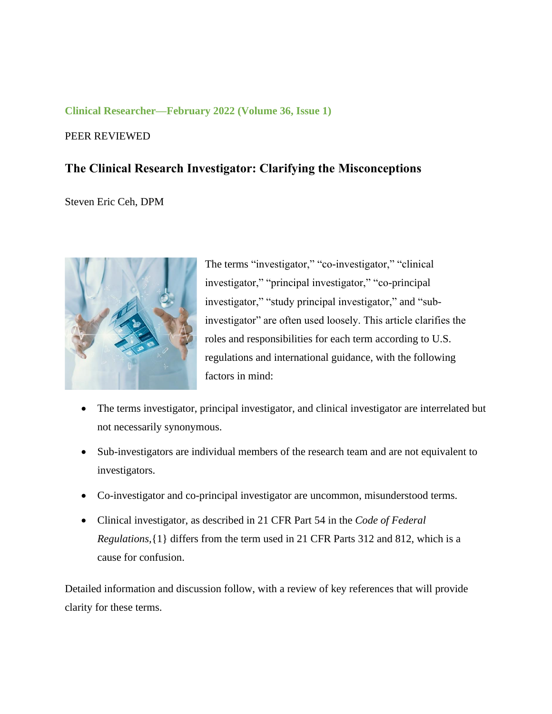#### **Clinical Researcher—February 2022 (Volume 36, Issue 1)**

#### PEER REVIEWED

## **The Clinical Research Investigator: Clarifying the Misconceptions**

#### Steven Eric Ceh, DPM



The terms "investigator," "co-investigator," "clinical investigator," "principal investigator," "co-principal investigator," "study principal investigator," and "subinvestigator" are often used loosely. This article clarifies the roles and responsibilities for each term according to U.S. regulations and international guidance, with the following factors in mind:

- The terms investigator, principal investigator, and clinical investigator are interrelated but not necessarily synonymous.
- Sub-investigators are individual members of the research team and are not equivalent to investigators.
- Co-investigator and co-principal investigator are uncommon, misunderstood terms.
- Clinical investigator, as described in 21 CFR Part 54 in the *Code of Federal Regulations,*{1} differs from the term used in 21 CFR Parts 312 and 812, which is a cause for confusion.

Detailed information and discussion follow, with a review of key references that will provide clarity for these terms.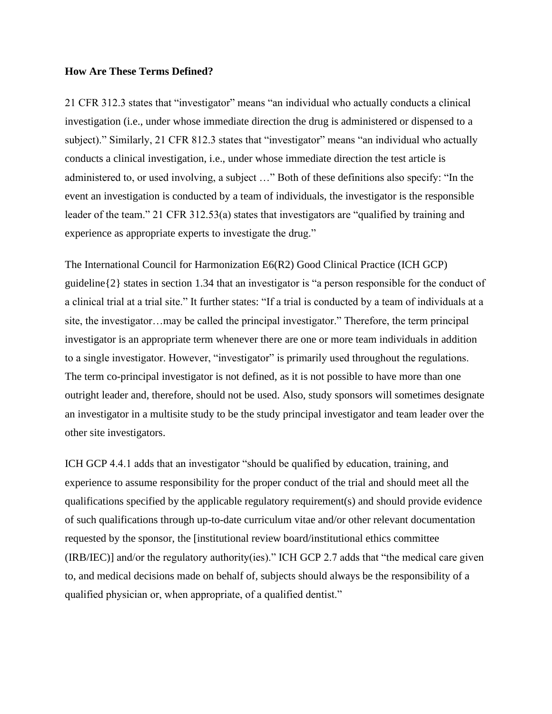#### **How Are These Terms Defined?**

21 CFR 312.3 states that "investigator" means "an individual who actually conducts a clinical investigation (i.e., under whose immediate direction the drug is administered or dispensed to a subject)." Similarly, 21 CFR 812.3 states that "investigator" means "an individual who actually conducts a clinical investigation, i.e., under whose immediate direction the test article is administered to, or used involving, a subject …" Both of these definitions also specify: "In the event an investigation is conducted by a team of individuals, the investigator is the responsible leader of the team." 21 CFR 312.53(a) states that investigators are "qualified by training and experience as appropriate experts to investigate the drug."

The International Council for Harmonization E6(R2) Good Clinical Practice (ICH GCP) guideline{2} states in section 1.34 that an investigator is "a person responsible for the conduct of a clinical trial at a trial site." It further states: "If a trial is conducted by a team of individuals at a site, the investigator…may be called the principal investigator." Therefore, the term principal investigator is an appropriate term whenever there are one or more team individuals in addition to a single investigator. However, "investigator" is primarily used throughout the regulations. The term co-principal investigator is not defined, as it is not possible to have more than one outright leader and, therefore, should not be used. Also, study sponsors will sometimes designate an investigator in a multisite study to be the study principal investigator and team leader over the other site investigators.

ICH GCP 4.4.1 adds that an investigator "should be qualified by education, training, and experience to assume responsibility for the proper conduct of the trial and should meet all the qualifications specified by the applicable regulatory requirement(s) and should provide evidence of such qualifications through up-to-date curriculum vitae and/or other relevant documentation requested by the sponsor, the [institutional review board/institutional ethics committee (IRB/IEC)] and/or the regulatory authority(ies)." ICH GCP 2.7 adds that "the medical care given to, and medical decisions made on behalf of, subjects should always be the responsibility of a qualified physician or, when appropriate, of a qualified dentist."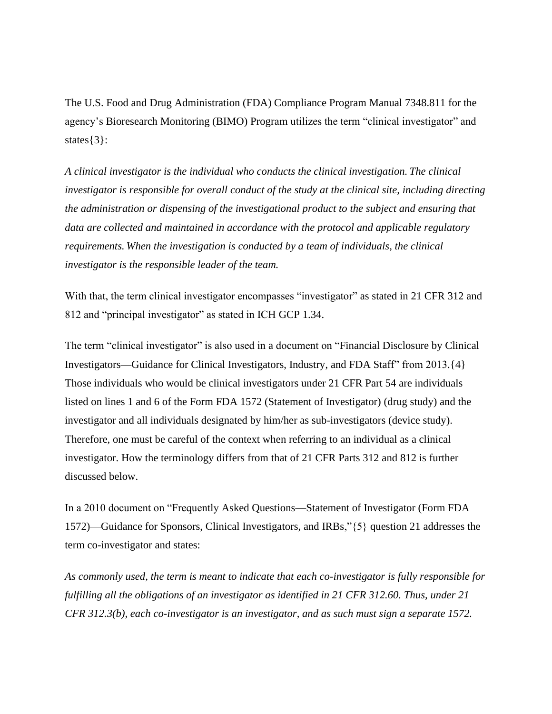The U.S. Food and Drug Administration (FDA) Compliance Program Manual 7348.811 for the agency's Bioresearch Monitoring (BIMO) Program utilizes the term "clinical investigator" and states{3}:

*A clinical investigator is the individual who conducts the clinical investigation. The clinical investigator is responsible for overall conduct of the study at the clinical site, including directing the administration or dispensing of the investigational product to the subject and ensuring that data are collected and maintained in accordance with the protocol and applicable regulatory requirements. When the investigation is conducted by a team of individuals, the clinical investigator is the responsible leader of the team.*

With that, the term clinical investigator encompasses "investigator" as stated in 21 CFR 312 and 812 and "principal investigator" as stated in ICH GCP 1.34.

The term "clinical investigator" is also used in a document on "Financial Disclosure by Clinical Investigators—Guidance for Clinical Investigators, Industry, and FDA Staff" from 2013.{4} Those individuals who would be clinical investigators under 21 CFR Part 54 are individuals listed on lines 1 and 6 of the Form FDA 1572 (Statement of Investigator) (drug study) and the investigator and all individuals designated by him/her as sub-investigators (device study). Therefore, one must be careful of the context when referring to an individual as a clinical investigator. How the terminology differs from that of 21 CFR Parts 312 and 812 is further discussed below.

In a 2010 document on "Frequently Asked Questions—Statement of Investigator (Form FDA 1572)—Guidance for Sponsors, Clinical Investigators, and IRBs,"{5} question 21 addresses the term co-investigator and states:

*As commonly used, the term is meant to indicate that each co-investigator is fully responsible for fulfilling all the obligations of an investigator as identified in 21 CFR 312.60. Thus, under 21 CFR 312.3(b), each co-investigator is an investigator, and as such must sign a separate 1572.*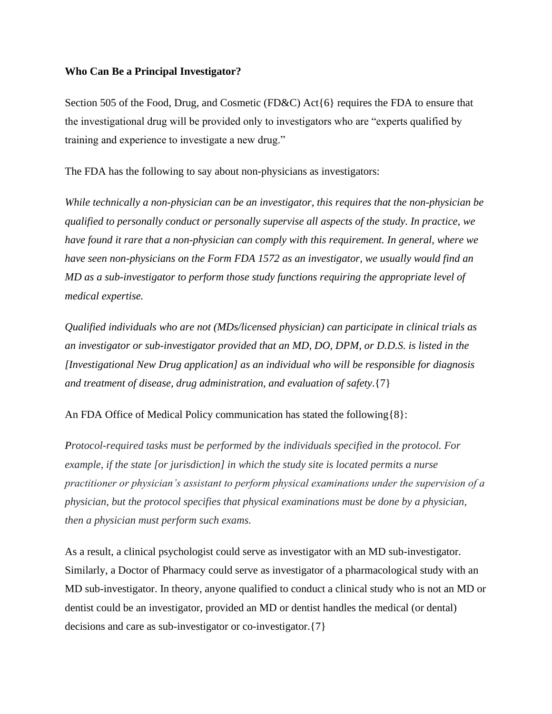#### **Who Can Be a Principal Investigator?**

Section 505 of the Food, Drug, and Cosmetic (FD&C) Act{6} requires the FDA to ensure that the investigational drug will be provided only to investigators who are "experts qualified by training and experience to investigate a new drug."

The FDA has the following to say about non-physicians as investigators:

*While technically a non-physician can be an investigator, this requires that the non-physician be qualified to personally conduct or personally supervise all aspects of the study. In practice, we have found it rare that a non-physician can comply with this requirement. In general, where we have seen non-physicians on the Form FDA 1572 as an investigator, we usually would find an MD as a sub-investigator to perform those study functions requiring the appropriate level of medical expertise.*

*Qualified individuals who are not (MDs/licensed physician) can participate in clinical trials as an investigator or sub-investigator provided that an MD, DO, DPM, or D.D.S. is listed in the [Investigational New Drug application] as an individual who will be responsible for diagnosis and treatment of disease, drug administration, and evaluation of safety*.{7}

An FDA Office of Medical Policy communication has stated the following{8}:

*Protocol-required tasks must be performed by the individuals specified in the protocol. For example, if the state [or jurisdiction] in which the study site is located permits a nurse practitioner or physician's assistant to perform physical examinations under the supervision of a physician, but the protocol specifies that physical examinations must be done by a physician, then a physician must perform such exams.*

As a result, a clinical psychologist could serve as investigator with an MD sub-investigator. Similarly, a Doctor of Pharmacy could serve as investigator of a pharmacological study with an MD sub-investigator. In theory, anyone qualified to conduct a clinical study who is not an MD or dentist could be an investigator, provided an MD or dentist handles the medical (or dental) decisions and care as sub-investigator or co-investigator.{7}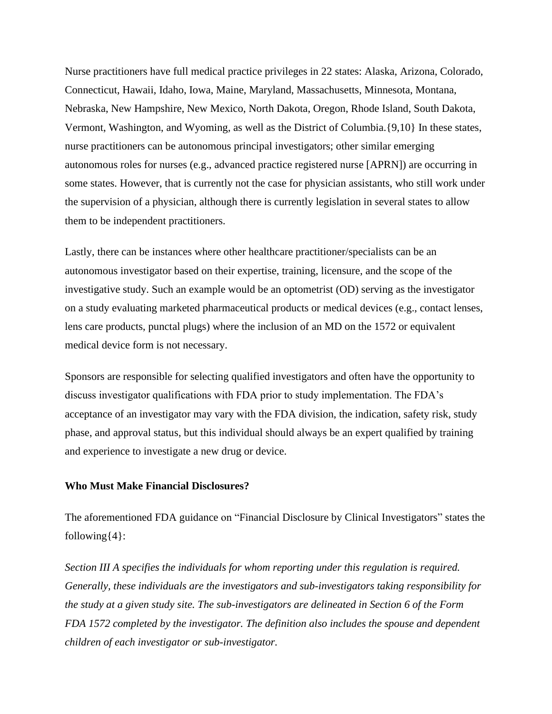Nurse practitioners have full medical practice privileges in 22 states: Alaska, Arizona, Colorado, Connecticut, Hawaii, Idaho, Iowa, Maine, Maryland, Massachusetts, Minnesota, Montana, Nebraska, New Hampshire, New Mexico, North Dakota, Oregon, Rhode Island, South Dakota, Vermont, Washington, and Wyoming, as well as the District of Columbia.{9,10} In these states, nurse practitioners can be autonomous principal investigators; other similar emerging autonomous roles for nurses (e.g., advanced practice registered nurse [APRN]) are occurring in some states. However, that is currently not the case for physician assistants, who still work under the supervision of a physician, although there is currently legislation in several states to allow them to be independent practitioners.

Lastly, there can be instances where other healthcare practitioner/specialists can be an autonomous investigator based on their expertise, training, licensure, and the scope of the investigative study. Such an example would be an optometrist (OD) serving as the investigator on a study evaluating marketed pharmaceutical products or medical devices (e.g., contact lenses, lens care products, punctal plugs) where the inclusion of an MD on the 1572 or equivalent medical device form is not necessary.

Sponsors are responsible for selecting qualified investigators and often have the opportunity to discuss investigator qualifications with FDA prior to study implementation. The FDA's acceptance of an investigator may vary with the FDA division, the indication, safety risk, study phase, and approval status, but this individual should always be an expert qualified by training and experience to investigate a new drug or device.

#### **Who Must Make Financial Disclosures?**

The aforementioned FDA guidance on "Financial Disclosure by Clinical Investigators" states the following $\{4\}$ :

*Section III A specifies the individuals for whom reporting under this regulation is required. Generally, these individuals are the investigators and sub-investigators taking responsibility for the study at a given study site. The sub-investigators are delineated in Section 6 of the Form FDA 1572 completed by the investigator. The definition also includes the spouse and dependent children of each investigator or sub-investigator.*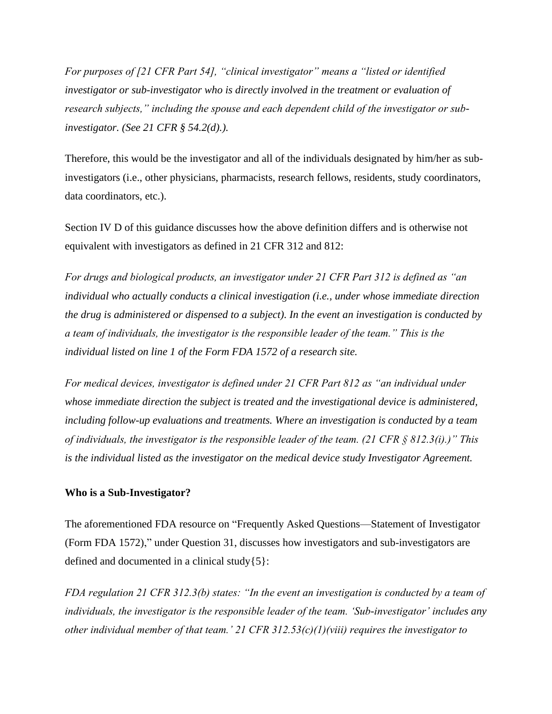*For purposes of [21 CFR Part 54], "clinical investigator" means a "listed or identified investigator or sub-investigator who is directly involved in the treatment or evaluation of research subjects," including the spouse and each dependent child of the investigator or subinvestigator. (See 21 CFR § 54.2(d).).*

Therefore, this would be the investigator and all of the individuals designated by him/her as subinvestigators (i.e., other physicians, pharmacists, research fellows, residents, study coordinators, data coordinators, etc.).

Section IV D of this guidance discusses how the above definition differs and is otherwise not equivalent with investigators as defined in 21 CFR 312 and 812:

*For drugs and biological products, an investigator under 21 CFR Part 312 is defined as "an individual who actually conducts a clinical investigation (i.e., under whose immediate direction the drug is administered or dispensed to a subject). In the event an investigation is conducted by a team of individuals, the investigator is the responsible leader of the team." This is the individual listed on line 1 of the Form FDA 1572 of a research site.*

*For medical devices, investigator is defined under 21 CFR Part 812 as "an individual under whose immediate direction the subject is treated and the investigational device is administered, including follow-up evaluations and treatments. Where an investigation is conducted by a team of individuals, the investigator is the responsible leader of the team. (21 CFR § 812.3(i).)" This is the individual listed as the investigator on the medical device study Investigator Agreement.*

#### **Who is a Sub-Investigator?**

The aforementioned FDA resource on "Frequently Asked Questions—Statement of Investigator (Form FDA 1572)," under Question 31, discusses how investigators and sub-investigators are defined and documented in a clinical study $\{5\}$ :

*FDA regulation 21 CFR 312.3(b) states: "In the event an investigation is conducted by a team of individuals, the investigator is the responsible leader of the team. 'Sub-investigator' includes any other individual member of that team.' 21 CFR 312.53(c)(1)(viii) requires the investigator to*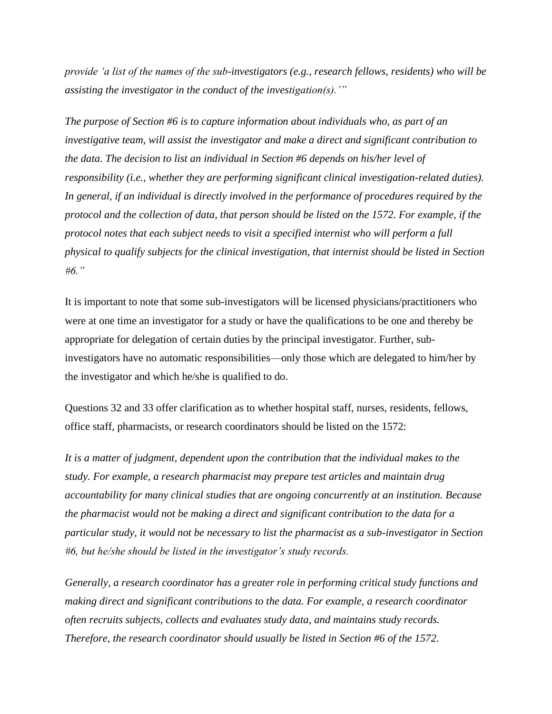*provide 'a list of the names of the sub-investigators (e.g., research fellows, residents) who will be assisting the investigator in the conduct of the investigation(s).'"*

*The purpose of Section #6 is to capture information about individuals who, as part of an investigative team, will assist the investigator and make a direct and significant contribution to the data. The decision to list an individual in Section #6 depends on his/her level of responsibility (i.e., whether they are performing significant clinical investigation-related duties). In general, if an individual is directly involved in the performance of procedures required by the protocol and the collection of data, that person should be listed on the 1572. For example, if the protocol notes that each subject needs to visit a specified internist who will perform a full physical to qualify subjects for the clinical investigation, that internist should be listed in Section #6."*

It is important to note that some sub-investigators will be licensed physicians/practitioners who were at one time an investigator for a study or have the qualifications to be one and thereby be appropriate for delegation of certain duties by the principal investigator. Further, subinvestigators have no automatic responsibilities—only those which are delegated to him/her by the investigator and which he/she is qualified to do.

Questions 32 and 33 offer clarification as to whether hospital staff, nurses, residents, fellows, office staff, pharmacists, or research coordinators should be listed on the 1572:

*It is a matter of judgment, dependent upon the contribution that the individual makes to the study. For example, a research pharmacist may prepare test articles and maintain drug accountability for many clinical studies that are ongoing concurrently at an institution. Because the pharmacist would not be making a direct and significant contribution to the data for a particular study, it would not be necessary to list the pharmacist as a sub-investigator in Section #6, but he/she should be listed in the investigator's study records.*

*Generally, a research coordinator has a greater role in performing critical study functions and making direct and significant contributions to the data. For example, a research coordinator often recruits subjects, collects and evaluates study data, and maintains study records. Therefore, the research coordinator should usually be listed in Section #6 of the 1572*.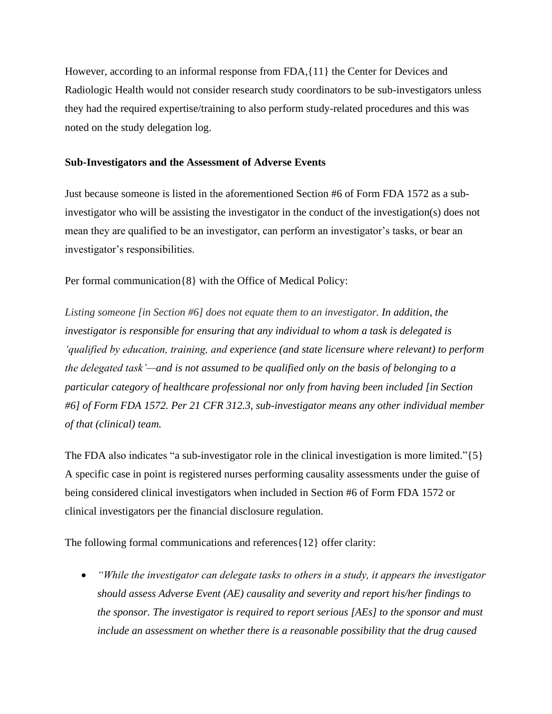However, according to an informal response from FDA,{11} the Center for Devices and Radiologic Health would not consider research study coordinators to be sub-investigators unless they had the required expertise/training to also perform study-related procedures and this was noted on the study delegation log.

#### **Sub-Investigators and the Assessment of Adverse Events**

Just because someone is listed in the aforementioned Section #6 of Form FDA 1572 as a subinvestigator who will be assisting the investigator in the conduct of the investigation(s) does not mean they are qualified to be an investigator, can perform an investigator's tasks, or bear an investigator's responsibilities.

Per formal communication{8} with the Office of Medical Policy:

*Listing someone [in Section #6] does not equate them to an investigator. In addition, the investigator is responsible for ensuring that any individual to whom a task is delegated is 'qualified by education, training, and experience (and state licensure where relevant) to perform the delegated task'—and is not assumed to be qualified only on the basis of belonging to a particular category of healthcare professional nor only from having been included [in Section #6] of Form FDA 1572. Per 21 CFR 312.3, sub-investigator means any other individual member of that (clinical) team.*

The FDA also indicates "a sub-investigator role in the clinical investigation is more limited." $\{5\}$ A specific case in point is registered nurses performing causality assessments under the guise of being considered clinical investigators when included in Section #6 of Form FDA 1572 or clinical investigators per the financial disclosure regulation.

The following formal communications and references{12} offer clarity:

• *"While the investigator can delegate tasks to others in a study, it appears the investigator should assess Adverse Event (AE) causality and severity and report his/her findings to the sponsor. The investigator is required to report serious [AEs] to the sponsor and must include an assessment on whether there is a reasonable possibility that the drug caused*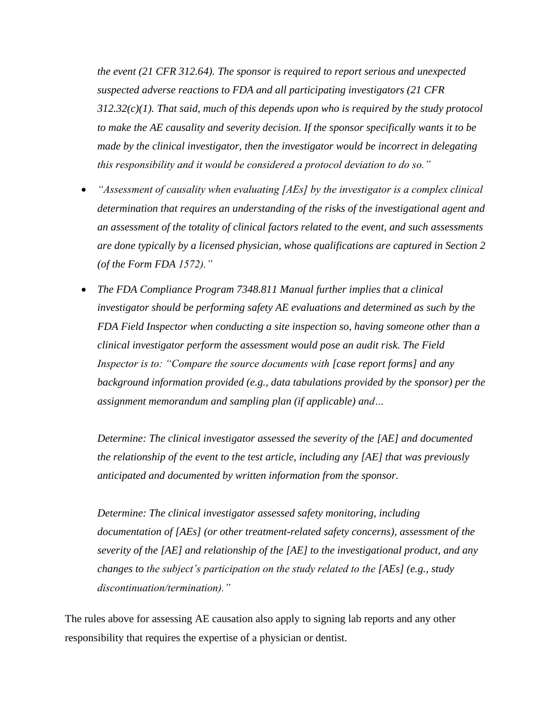*the event (21 CFR 312.64). The sponsor is required to report serious and unexpected suspected adverse reactions to FDA and all participating investigators (21 CFR 312.32(c)(1). That said, much of this depends upon who is required by the study protocol to make the AE causality and severity decision. If the sponsor specifically wants it to be made by the clinical investigator, then the investigator would be incorrect in delegating this responsibility and it would be considered a protocol deviation to do so."*

- *"Assessment of causality when evaluating [AEs] by the investigator is a complex clinical determination that requires an understanding of the risks of the investigational agent and an assessment of the totality of clinical factors related to the event, and such assessments are done typically by a licensed physician, whose qualifications are captured in Section 2 (of the Form FDA 1572)."*
- *The FDA Compliance Program 7348.811 Manual further implies that a clinical investigator should be performing safety AE evaluations and determined as such by the FDA Field Inspector when conducting a site inspection so, having someone other than a clinical investigator perform the assessment would pose an audit risk. The Field Inspector is to: "Compare the source documents with [case report forms] and any background information provided (e.g., data tabulations provided by the sponsor) per the assignment memorandum and sampling plan (if applicable) and…*

*Determine: The clinical investigator assessed the severity of the [AE] and documented the relationship of the event to the test article, including any [AE] that was previously anticipated and documented by written information from the sponsor.*

*Determine: The clinical investigator assessed safety monitoring, including documentation of [AEs] (or other treatment-related safety concerns), assessment of the severity of the [AE] and relationship of the [AE] to the investigational product, and any changes to the subject's participation on the study related to the [AEs] (e.g., study discontinuation/termination)."*

The rules above for assessing AE causation also apply to signing lab reports and any other responsibility that requires the expertise of a physician or dentist.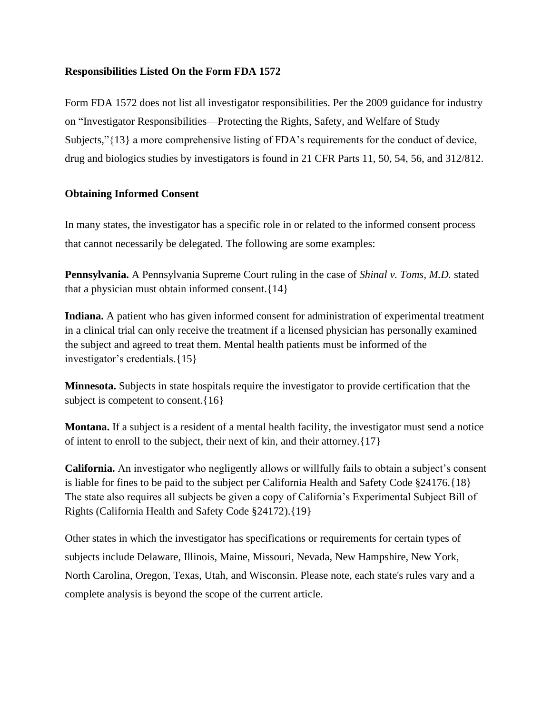#### **Responsibilities Listed On the Form FDA 1572**

Form FDA 1572 does not list all investigator responsibilities. Per the 2009 guidance for industry on "Investigator Responsibilities—Protecting the Rights, Safety, and Welfare of Study Subjects,"{13} a more comprehensive listing of FDA's requirements for the conduct of device, drug and biologics studies by investigators is found in 21 CFR Parts 11, 50, 54, 56, and 312/812.

#### **Obtaining Informed Consent**

In many states, the investigator has a specific role in or related to the informed consent process that cannot necessarily be delegated. The following are some examples:

**Pennsylvania.** A Pennsylvania Supreme Court ruling in the case of *Shinal v. Toms, M.D.* stated that a physician must obtain informed consent.{14}

**Indiana.** A patient who has given informed consent for administration of experimental treatment in a clinical trial can only receive the treatment if a licensed physician has personally examined the subject and agreed to treat them. Mental health patients must be informed of the investigator's credentials.{15}

**Minnesota.** Subjects in state hospitals require the investigator to provide certification that the subject is competent to consent. {16}

**Montana.** If a subject is a resident of a mental health facility, the investigator must send a notice of intent to enroll to the subject, their next of kin, and their attorney.{17}

**California.** An investigator who negligently allows or willfully fails to obtain a subject's consent is liable for fines to be paid to the subject per California Health and Safety Code §24176.{18} The state also requires all subjects be given a copy of California's Experimental Subject Bill of Rights (California Health and Safety Code §24172).{19}

Other states in which the investigator has specifications or requirements for certain types of subjects include Delaware, Illinois, Maine, Missouri, Nevada, New Hampshire, New York, North Carolina, Oregon, Texas, Utah, and Wisconsin. Please note, each state's rules vary and a complete analysis is beyond the scope of the current article.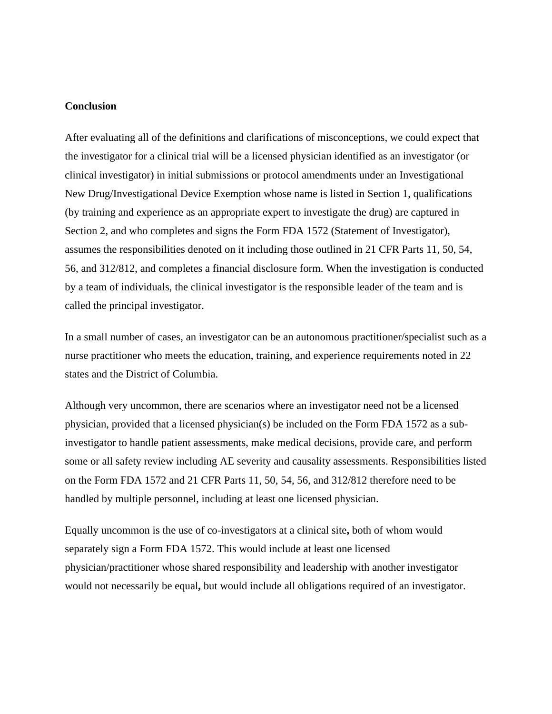#### **Conclusion**

After evaluating all of the definitions and clarifications of misconceptions, we could expect that the investigator for a clinical trial will be a licensed physician identified as an investigator (or clinical investigator) in initial submissions or protocol amendments under an Investigational New Drug/Investigational Device Exemption whose name is listed in Section 1, qualifications (by training and experience as an appropriate expert to investigate the drug) are captured in Section 2, and who completes and signs the Form FDA 1572 (Statement of Investigator), assumes the responsibilities denoted on it including those outlined in 21 CFR Parts 11, 50, 54, 56, and 312/812, and completes a financial disclosure form. When the investigation is conducted by a team of individuals, the clinical investigator is the responsible leader of the team and is called the principal investigator.

In a small number of cases, an investigator can be an autonomous practitioner/specialist such as a nurse practitioner who meets the education, training, and experience requirements noted in 22 states and the District of Columbia.

Although very uncommon, there are scenarios where an investigator need not be a licensed physician, provided that a licensed physician(s) be included on the Form FDA 1572 as a subinvestigator to handle patient assessments, make medical decisions, provide care, and perform some or all safety review including AE severity and causality assessments. Responsibilities listed on the Form FDA 1572 and 21 CFR Parts 11, 50, 54, 56, and 312/812 therefore need to be handled by multiple personnel, including at least one licensed physician.

Equally uncommon is the use of co-investigators at a clinical site**,** both of whom would separately sign a Form FDA 1572. This would include at least one licensed physician/practitioner whose shared responsibility and leadership with another investigator would not necessarily be equal**,** but would include all obligations required of an investigator.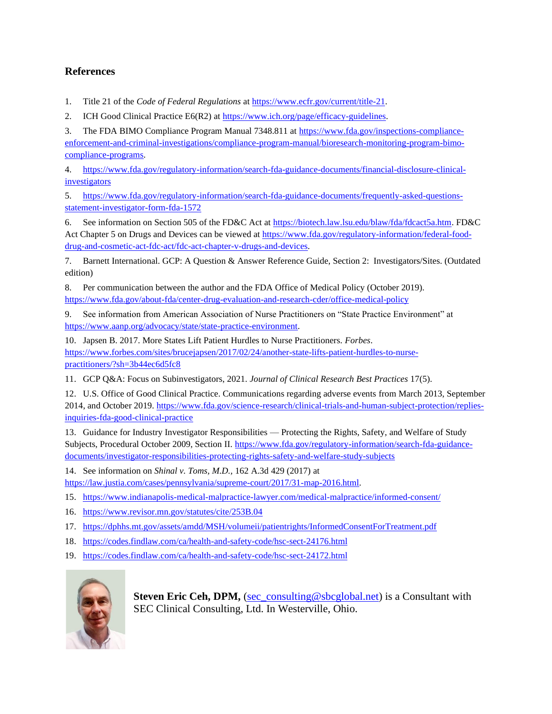#### **References**

1. Title 21 of the *Code of Federal Regulations* a[t https://www.ecfr.gov/current/title-21.](https://www.ecfr.gov/current/title-21)

2. ICH Good Clinical Practice E6(R2) at [https://www.ich.org/page/efficacy-guidelines.](https://www.ich.org/page/efficacy-guidelines)

3. The FDA BIMO Compliance Program Manual 7348.811 a[t https://www.fda.gov/inspections-compliance](https://www.fda.gov/inspections-compliance-enforcement-and-criminal-investigations/compliance-program-manual/bioresearch-monitoring-program-bimo-compliance-programs)[enforcement-and-criminal-investigations/compliance-program-manual/bioresearch-monitoring-program-bimo](https://www.fda.gov/inspections-compliance-enforcement-and-criminal-investigations/compliance-program-manual/bioresearch-monitoring-program-bimo-compliance-programs)[compliance-programs.](https://www.fda.gov/inspections-compliance-enforcement-and-criminal-investigations/compliance-program-manual/bioresearch-monitoring-program-bimo-compliance-programs)

4. [https://www.fda.gov/regulatory-information/search-fda-guidance-documents/financial-disclosure-clinical](https://www.fda.gov/regulatory-information/search-fda-guidance-documents/financial-disclosure-clinical-investigators)[investigators](https://www.fda.gov/regulatory-information/search-fda-guidance-documents/financial-disclosure-clinical-investigators)

5. [https://www.fda.gov/regulatory-information/search-fda-guidance-documents/frequently-asked-questions](https://www.fda.gov/regulatory-information/search-fda-guidance-documents/frequently-asked-questions-statement-investigator-form-fda-1572)[statement-investigator-form-fda-1572](https://www.fda.gov/regulatory-information/search-fda-guidance-documents/frequently-asked-questions-statement-investigator-form-fda-1572)

6. See information on Section 505 of the FD&C Act at [https://biotech.law.lsu.edu/blaw/fda/fdcact5a.htm.](https://biotech.law.lsu.edu/blaw/fda/fdcact5a.htm) FD&C Act Chapter 5 on Drugs and Devices can be viewed at [https://www.fda.gov/regulatory-information/federal-food](https://www.fda.gov/regulatory-information/federal-food-drug-and-cosmetic-act-fdc-act/fdc-act-chapter-v-drugs-and-devices)[drug-and-cosmetic-act-fdc-act/fdc-act-chapter-v-drugs-and-devices.](https://www.fda.gov/regulatory-information/federal-food-drug-and-cosmetic-act-fdc-act/fdc-act-chapter-v-drugs-and-devices)

7. Barnett International. GCP: A Question & Answer Reference Guide, Section 2: Investigators/Sites. (Outdated edition)

8. Per communication between the author and the FDA Office of Medical Policy (October 2019). <https://www.fda.gov/about-fda/center-drug-evaluation-and-research-cder/office-medical-policy>

9. See information from American Association of Nurse Practitioners on "State Practice Environment" at [https://www.aanp.org/advocacy/state/state-practice-environment.](https://www.aanp.org/advocacy/state/state-practice-environment)

10. Japsen B. 2017. More States Lift Patient Hurdles to Nurse Practitioners. *Forbes*. [https://www.forbes.com/sites/brucejapsen/2017/02/24/another-state-lifts-patient-hurdles-to-nurse](https://www.forbes.com/sites/brucejapsen/2017/02/24/another-state-lifts-patient-hurdles-to-nurse-practitioners/?sh=3b44ec6d5fc8)[practitioners/?sh=3b44ec6d5fc8](https://www.forbes.com/sites/brucejapsen/2017/02/24/another-state-lifts-patient-hurdles-to-nurse-practitioners/?sh=3b44ec6d5fc8)

11. GCP Q&A: Focus on Subinvestigators, 2021. *Journal of Clinical Research Best Practices* 17(5).

12. U.S. Office of Good Clinical Practice. Communications regarding adverse events from March 2013, September 2014, and October 2019[. https://www.fda.gov/science-research/clinical-trials-and-human-subject-protection/replies](https://www.fda.gov/science-research/clinical-trials-and-human-subject-protection/replies-inquiries-fda-good-clinical-practice)[inquiries-fda-good-clinical-practice](https://www.fda.gov/science-research/clinical-trials-and-human-subject-protection/replies-inquiries-fda-good-clinical-practice)

13. Guidance for Industry Investigator Responsibilities — Protecting the Rights, Safety, and Welfare of Study Subjects, Procedural October 2009, Section II[. https://www.fda.gov/regulatory-information/search-fda-guidance](https://www.fda.gov/regulatory-information/search-fda-guidance-documents/investigator-responsibilities-protecting-rights-safety-and-welfare-study-subjects)[documents/investigator-responsibilities-protecting-rights-safety-and-welfare-study-subjects](https://www.fda.gov/regulatory-information/search-fda-guidance-documents/investigator-responsibilities-protecting-rights-safety-and-welfare-study-subjects)

14. See information on *Shinal v. Toms, M.D.,* 162 A.3d 429 (2017) at [https://law.justia.com/cases/pennsylvania/supreme-court/2017/31-map-2016.html.](https://law.justia.com/cases/pennsylvania/supreme-court/2017/31-map-2016.html) 

15. <https://www.indianapolis-medical-malpractice-lawyer.com/medical-malpractice/informed-consent/>

16. <https://www.revisor.mn.gov/statutes/cite/253B.04>

17. <https://dphhs.mt.gov/assets/amdd/MSH/volumeii/patientrights/InformedConsentForTreatment.pdf>

18. <https://codes.findlaw.com/ca/health-and-safety-code/hsc-sect-24176.html>

19. <https://codes.findlaw.com/ca/health-and-safety-code/hsc-sect-24172.html>



**Steven Eric Ceh, DPM,** [\(sec\\_consulting@sbcglobal.net\)](mailto:sec_consulting@sbcglobal.net) is a Consultant with SEC Clinical Consulting, Ltd. In Westerville, Ohio.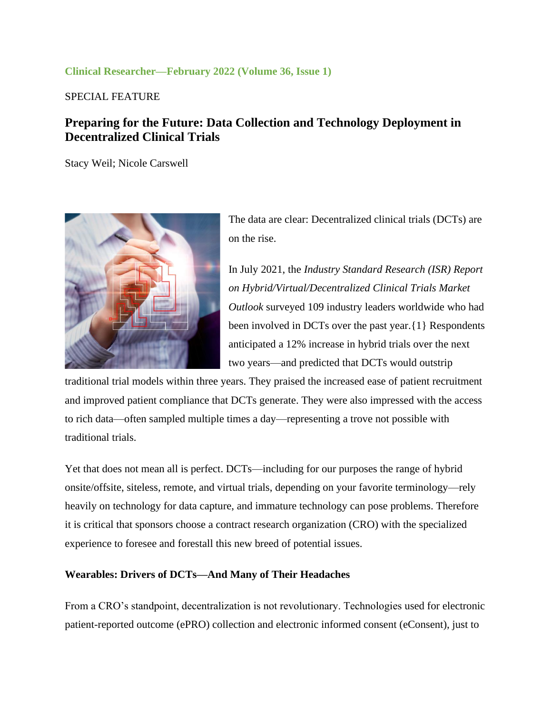#### **Clinical Researcher—February 2022 (Volume 36, Issue 1)**

SPECIAL FEATURE

## **Preparing for the Future: Data Collection and Technology Deployment in Decentralized Clinical Trials**

Stacy Weil; Nicole Carswell



The data are clear: Decentralized clinical trials (DCTs) are on the rise.

In July 2021, the *Industry Standard Research (ISR) Report on Hybrid/Virtual/Decentralized Clinical Trials Market Outlook* surveyed 109 industry leaders worldwide who had been involved in DCTs over the past year.{1} Respondents anticipated a 12% increase in hybrid trials over the next two years—and predicted that DCTs would outstrip

traditional trial models within three years. They praised the increased ease of patient recruitment and improved patient compliance that DCTs generate. They were also impressed with the access to rich data—often sampled multiple times a day—representing a trove not possible with traditional trials.

Yet that does not mean all is perfect. DCTs—including for our purposes the range of hybrid onsite/offsite, siteless, remote, and virtual trials, depending on your favorite terminology—rely heavily on technology for data capture, and immature technology can pose problems. Therefore it is critical that sponsors choose a contract research organization (CRO) with the specialized experience to foresee and forestall this new breed of potential issues.

#### **Wearables: Drivers of DCTs—And Many of Their Headaches**

From a CRO's standpoint, decentralization is not revolutionary. Technologies used for electronic patient-reported outcome (ePRO) collection and electronic informed consent (eConsent), just to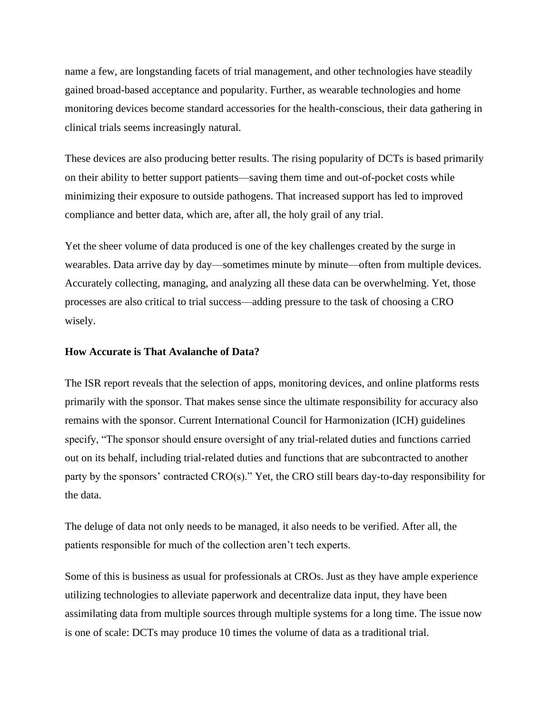name a few, are longstanding facets of trial management, and other technologies have steadily gained broad-based acceptance and popularity. Further, as wearable technologies and home monitoring devices become standard accessories for the health-conscious, their data gathering in clinical trials seems increasingly natural.

These devices are also producing better results. The rising popularity of DCTs is based primarily on their ability to better support patients—saving them time and out-of-pocket costs while minimizing their exposure to outside pathogens. That increased support has led to improved compliance and better data, which are, after all, the holy grail of any trial.

Yet the sheer volume of data produced is one of the key challenges created by the surge in wearables. Data arrive day by day—sometimes minute by minute—often from multiple devices. Accurately collecting, managing, and analyzing all these data can be overwhelming. Yet, those processes are also critical to trial success—adding pressure to the task of choosing a CRO wisely.

#### **How Accurate is That Avalanche of Data?**

The ISR report reveals that the selection of apps, monitoring devices, and online platforms rests primarily with the sponsor. That makes sense since the ultimate responsibility for accuracy also remains with the sponsor. Current International Council for Harmonization (ICH) guidelines specify, "The sponsor should ensure oversight of any trial-related duties and functions carried out on its behalf, including trial-related duties and functions that are subcontracted to another party by the sponsors' contracted CRO(s)." Yet, the CRO still bears day-to-day responsibility for the data.

The deluge of data not only needs to be managed, it also needs to be verified. After all, the patients responsible for much of the collection aren't tech experts.

Some of this is business as usual for professionals at CROs. Just as they have ample experience utilizing technologies to alleviate paperwork and decentralize data input, they have been assimilating data from multiple sources through multiple systems for a long time. The issue now is one of scale: DCTs may produce 10 times the volume of data as a traditional trial.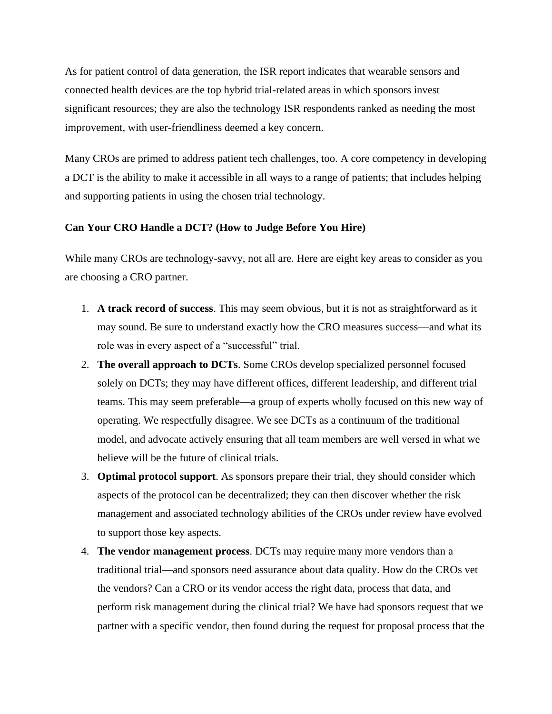As for patient control of data generation, the ISR report indicates that wearable sensors and connected health devices are the top hybrid trial-related areas in which sponsors invest significant resources; they are also the technology ISR respondents ranked as needing the most improvement, with user-friendliness deemed a key concern.

Many CROs are primed to address patient tech challenges, too. A core competency in developing a DCT is the ability to make it accessible in all ways to a range of patients; that includes helping and supporting patients in using the chosen trial technology.

#### **Can Your CRO Handle a DCT? (How to Judge Before You Hire)**

While many CROs are technology-savvy, not all are. Here are eight key areas to consider as you are choosing a CRO partner.

- 1. **A track record of success**. This may seem obvious, but it is not as straightforward as it may sound. Be sure to understand exactly how the CRO measures success—and what its role was in every aspect of a "successful" trial.
- 2. **The overall approach to DCTs**. Some CROs develop specialized personnel focused solely on DCTs; they may have different offices, different leadership, and different trial teams. This may seem preferable—a group of experts wholly focused on this new way of operating. We respectfully disagree. We see DCTs as a continuum of the traditional model, and advocate actively ensuring that all team members are well versed in what we believe will be the future of clinical trials.
- 3. **Optimal protocol support**. As sponsors prepare their trial, they should consider which aspects of the protocol can be decentralized; they can then discover whether the risk management and associated technology abilities of the CROs under review have evolved to support those key aspects.
- 4. **The vendor management process**. DCTs may require many more vendors than a traditional trial—and sponsors need assurance about data quality. How do the CROs vet the vendors? Can a CRO or its vendor access the right data, process that data, and perform risk management during the clinical trial? We have had sponsors request that we partner with a specific vendor, then found during the request for proposal process that the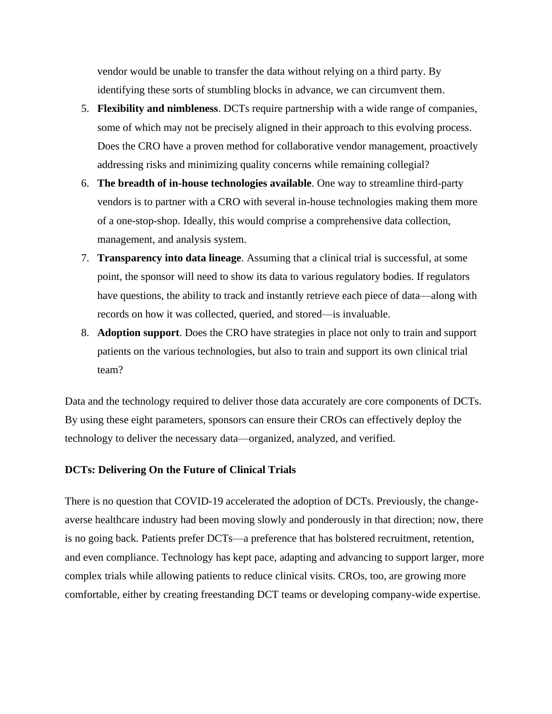vendor would be unable to transfer the data without relying on a third party. By identifying these sorts of stumbling blocks in advance, we can circumvent them.

- 5. **Flexibility and nimbleness**. DCTs require partnership with a wide range of companies, some of which may not be precisely aligned in their approach to this evolving process. Does the CRO have a proven method for collaborative vendor management, proactively addressing risks and minimizing quality concerns while remaining collegial?
- 6. **The breadth of in-house technologies available**. One way to streamline third-party vendors is to partner with a CRO with several in-house technologies making them more of a one-stop-shop. Ideally, this would comprise a comprehensive data collection, management, and analysis system.
- 7. **Transparency into data lineage**. Assuming that a clinical trial is successful, at some point, the sponsor will need to show its data to various regulatory bodies. If regulators have questions, the ability to track and instantly retrieve each piece of data—along with records on how it was collected, queried, and stored—is invaluable.
- 8. **Adoption support**. Does the CRO have strategies in place not only to train and support patients on the various technologies, but also to train and support its own clinical trial team?

Data and the technology required to deliver those data accurately are core components of DCTs. By using these eight parameters, sponsors can ensure their CROs can effectively deploy the technology to deliver the necessary data—organized, analyzed, and verified.

#### **DCTs: Delivering On the Future of Clinical Trials**

There is no question that COVID-19 accelerated the adoption of DCTs. Previously, the changeaverse healthcare industry had been moving slowly and ponderously in that direction; now, there is no going back. Patients prefer DCTs—a preference that has bolstered recruitment, retention, and even compliance. Technology has kept pace, adapting and advancing to support larger, more complex trials while allowing patients to reduce clinical visits. CROs, too, are growing more comfortable, either by creating freestanding DCT teams or developing company-wide expertise.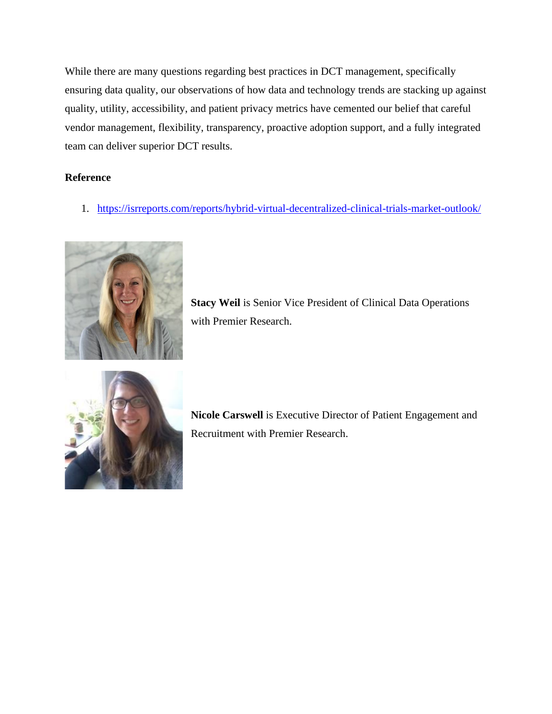While there are many questions regarding best practices in DCT management, specifically ensuring data quality, our observations of how data and technology trends are stacking up against quality, utility, accessibility, and patient privacy metrics have cemented our belief that careful vendor management, flexibility, transparency, proactive adoption support, and a fully integrated team can deliver superior DCT results.

#### **Reference**

1. <https://isrreports.com/reports/hybrid-virtual-decentralized-clinical-trials-market-outlook/>



**Stacy Weil** is Senior Vice President of Clinical Data Operations with Premier Research.



**Nicole Carswell** is Executive Director of Patient Engagement and Recruitment with Premier Research.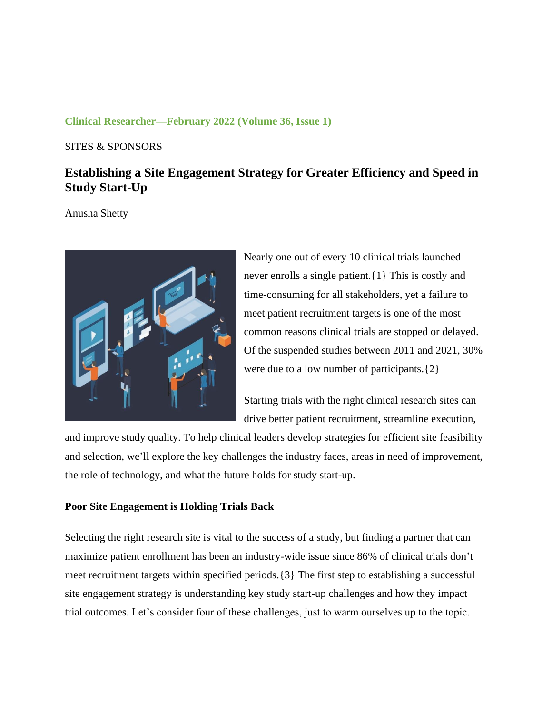#### **Clinical Researcher—February 2022 (Volume 36, Issue 1)**

#### SITES & SPONSORS

# **Establishing a Site Engagement Strategy for Greater Efficiency and Speed in Study Start-Up**

Anusha Shetty



Nearly one out of every 10 clinical trials launched never enrolls a single patient.{1} This is costly and time-consuming for all stakeholders, yet a failure to meet patient recruitment targets is one of the most common reasons clinical trials are stopped or delayed. Of the suspended studies between 2011 and 2021, 30% were due to a low number of participants.{2}

Starting trials with the right clinical research sites can drive better patient recruitment, streamline execution,

and improve study quality. To help clinical leaders develop strategies for efficient site feasibility and selection, we'll explore the key challenges the industry faces, areas in need of improvement, the role of technology, and what the future holds for study start-up.

#### **Poor Site Engagement is Holding Trials Back**

Selecting the right research site is vital to the success of a study, but finding a partner that can maximize patient enrollment has been an industry-wide issue since 86% of clinical trials don't meet recruitment targets within specified periods.{3} The first step to establishing a successful site engagement strategy is understanding key study start-up challenges and how they impact trial outcomes. Let's consider four of these challenges, just to warm ourselves up to the topic.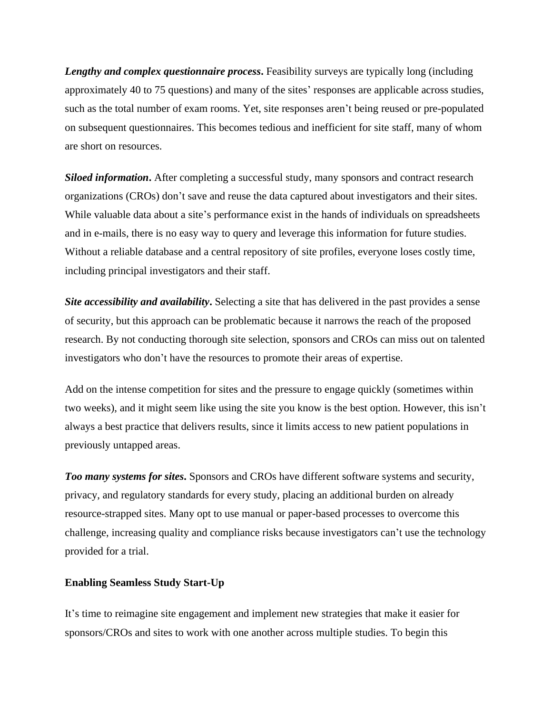*Lengthy and complex questionnaire process***.** Feasibility surveys are typically long (including approximately 40 to 75 questions) and many of the sites' responses are applicable across studies, such as the total number of exam rooms. Yet, site responses aren't being reused or pre-populated on subsequent questionnaires. This becomes tedious and inefficient for site staff, many of whom are short on resources.

*Siloed information***.** After completing a successful study, many sponsors and contract research organizations (CROs) don't save and reuse the data captured about investigators and their sites. While valuable data about a site's performance exist in the hands of individuals on spreadsheets and in e-mails, there is no easy way to query and leverage this information for future studies. Without a reliable database and a central repository of site profiles, everyone loses costly time, including principal investigators and their staff.

*Site accessibility and availability***.** Selecting a site that has delivered in the past provides a sense of security, but this approach can be problematic because it narrows the reach of the proposed research. By not conducting thorough site selection, sponsors and CROs can miss out on talented investigators who don't have the resources to promote their areas of expertise.

Add on the intense competition for sites and the pressure to engage quickly (sometimes within two weeks), and it might seem like using the site you know is the best option. However, this isn't always a best practice that delivers results, since it limits access to new patient populations in previously untapped areas.

*Too many systems for sites***.** Sponsors and CROs have different software systems and security, privacy, and regulatory standards for every study, placing an additional burden on already resource-strapped sites. Many opt to use manual or paper-based processes to overcome this challenge, increasing quality and compliance risks because investigators can't use the technology provided for a trial.

#### **Enabling Seamless Study Start-Up**

It's time to reimagine site engagement and implement new strategies that make it easier for sponsors/CROs and sites to work with one another across multiple studies. To begin this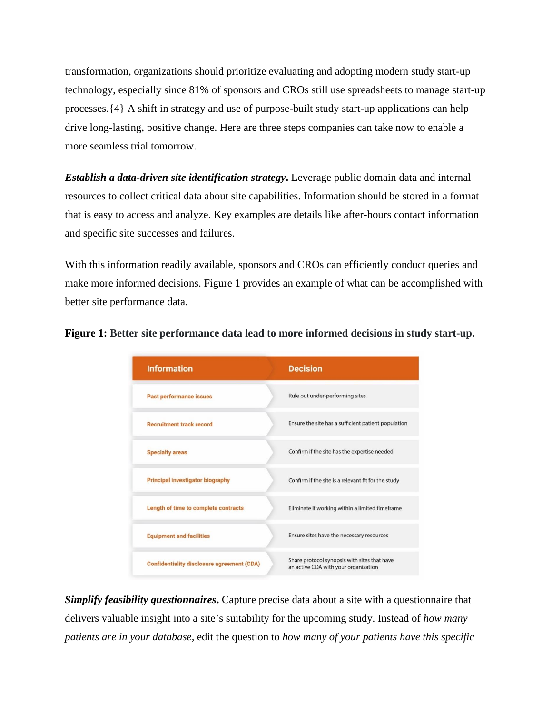transformation, organizations should prioritize evaluating and adopting modern study start-up technology, especially since 81% of sponsors and CROs still use spreadsheets to manage start-up processes.{4} A shift in strategy and use of purpose-built study start-up applications can help drive long-lasting, positive change. Here are three steps companies can take now to enable a more seamless trial tomorrow.

*Establish a data-driven site identification strategy***.** Leverage public domain data and internal resources to collect critical data about site capabilities. Information should be stored in a format that is easy to access and analyze. Key examples are details like after-hours contact information and specific site successes and failures.

With this information readily available, sponsors and CROs can efficiently conduct queries and make more informed decisions. Figure 1 provides an example of what can be accomplished with better site performance data.



**Figure 1: Better site performance data lead to more informed decisions in study start-up.**

*Simplify feasibility questionnaires***.** Capture precise data about a site with a questionnaire that delivers valuable insight into a site's suitability for the upcoming study. Instead of *how many patients are in your database,* edit the question to *how many of your patients have this specific*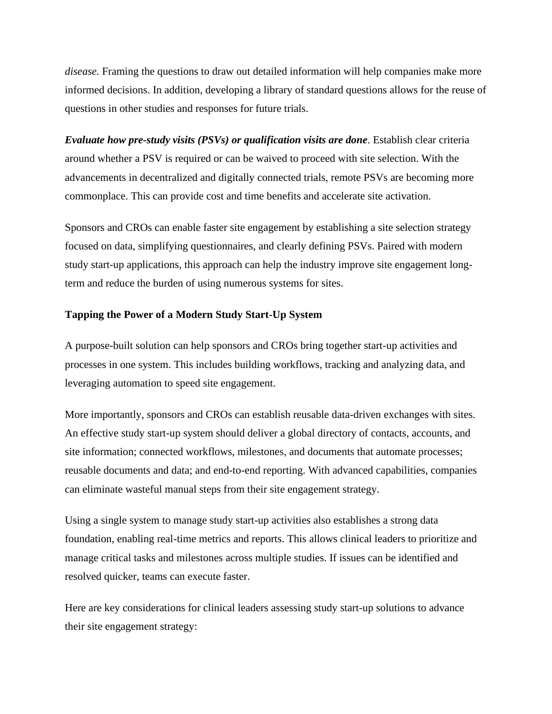*disease.* Framing the questions to draw out detailed information will help companies make more informed decisions. In addition, developing a library of standard questions allows for the reuse of questions in other studies and responses for future trials.

*Evaluate how pre-study visits (PSVs) or qualification visits are done*. Establish clear criteria around whether a PSV is required or can be waived to proceed with site selection. With the advancements in decentralized and digitally connected trials, remote PSVs are becoming more commonplace. This can provide cost and time benefits and accelerate site activation.

Sponsors and CROs can enable faster site engagement by establishing a site selection strategy focused on data, simplifying questionnaires, and clearly defining PSVs. Paired with modern study start-up applications, this approach can help the industry improve site engagement longterm and reduce the burden of using numerous systems for sites.

#### **Tapping the Power of a Modern Study Start-Up System**

A purpose-built solution can help sponsors and CROs bring together start-up activities and processes in one system. This includes building workflows, tracking and analyzing data, and leveraging automation to speed site engagement.

More importantly, sponsors and CROs can establish reusable data-driven exchanges with sites. An effective study start-up system should deliver a global directory of contacts, accounts, and site information; connected workflows, milestones, and documents that automate processes; reusable documents and data; and end-to-end reporting. With advanced capabilities, companies can eliminate wasteful manual steps from their site engagement strategy.

Using a single system to manage study start-up activities also establishes a strong data foundation, enabling real-time metrics and reports. This allows clinical leaders to prioritize and manage critical tasks and milestones across multiple studies. If issues can be identified and resolved quicker, teams can execute faster.

Here are key considerations for clinical leaders assessing study start-up solutions to advance their site engagement strategy: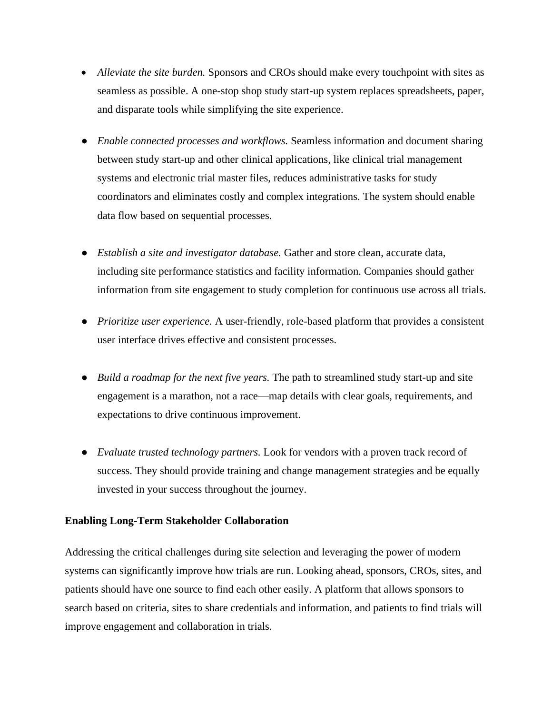- *Alleviate the site burden.* Sponsors and CROs should make every touch point with sites as seamless as possible. A one-stop shop study start-up system replaces spreadsheets, paper, and disparate tools while simplifying the site experience.
- *Enable connected processes and workflows.* Seamless information and document sharing between study start-up and other clinical applications, like clinical trial management systems and electronic trial master files, reduces administrative tasks for study coordinators and eliminates costly and complex integrations. The system should enable data flow based on sequential processes.
- *Establish a site and investigator database.* Gather and store clean, accurate data, including site performance statistics and facility information. Companies should gather information from site engagement to study completion for continuous use across all trials.
- *Prioritize user experience.* A user-friendly, role-based platform that provides a consistent user interface drives effective and consistent processes.
- *Build a roadmap for the next five years.* The path to streamlined study start-up and site engagement is a marathon, not a race—map details with clear goals, requirements, and expectations to drive continuous improvement.
- *Evaluate trusted technology partners.* Look for vendors with a proven track record of success. They should provide training and change management strategies and be equally invested in your success throughout the journey.

### **Enabling Long-Term Stakeholder Collaboration**

Addressing the critical challenges during site selection and leveraging the power of modern systems can significantly improve how trials are run. Looking ahead, sponsors, CROs, sites, and patients should have one source to find each other easily. A platform that allows sponsors to search based on criteria, sites to share credentials and information, and patients to find trials will improve engagement and collaboration in trials.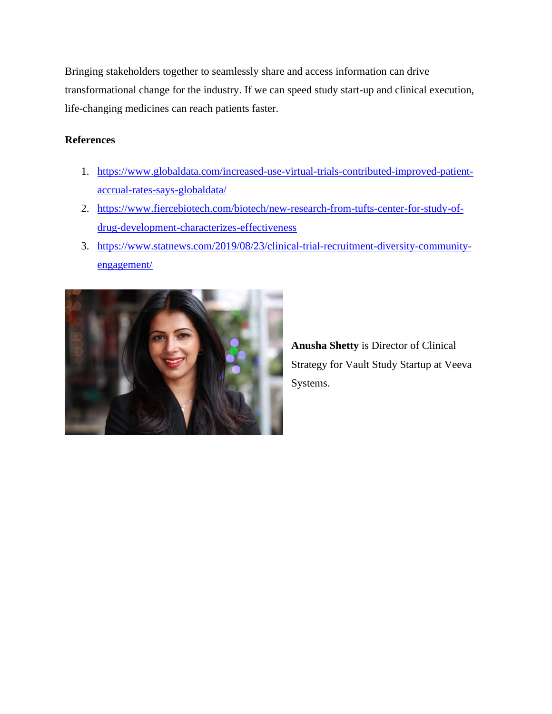Bringing stakeholders together to seamlessly share and access information can drive transformational change for the industry. If we can speed study start-up and clinical execution, life-changing medicines can reach patients faster.

### **References**

- 1. [https://www.globaldata.com/increased-use-virtual-trials-contributed-improved-patient](https://www.globaldata.com/increased-use-virtual-trials-contributed-improved-patient-accrual-rates-says-globaldata/)[accrual-rates-says-globaldata/](https://www.globaldata.com/increased-use-virtual-trials-contributed-improved-patient-accrual-rates-says-globaldata/)
- 2. [https://www.fiercebiotech.com/biotech/new-research-from-tufts-center-for-study-of](https://www.fiercebiotech.com/biotech/new-research-from-tufts-center-for-study-of-drug-development-characterizes-effectiveness)[drug-development-characterizes-effectiveness](https://www.fiercebiotech.com/biotech/new-research-from-tufts-center-for-study-of-drug-development-characterizes-effectiveness)
- 3. [https://www.statnews.com/2019/08/23/clinical-trial-recruitment-diversity-community](https://www.statnews.com/2019/08/23/clinical-trial-recruitment-diversity-community-engagement/)[engagement/](https://www.statnews.com/2019/08/23/clinical-trial-recruitment-diversity-community-engagement/)



**Anusha Shetty** is Director of Clinical Strategy for Vault Study Startup at Veeva Systems.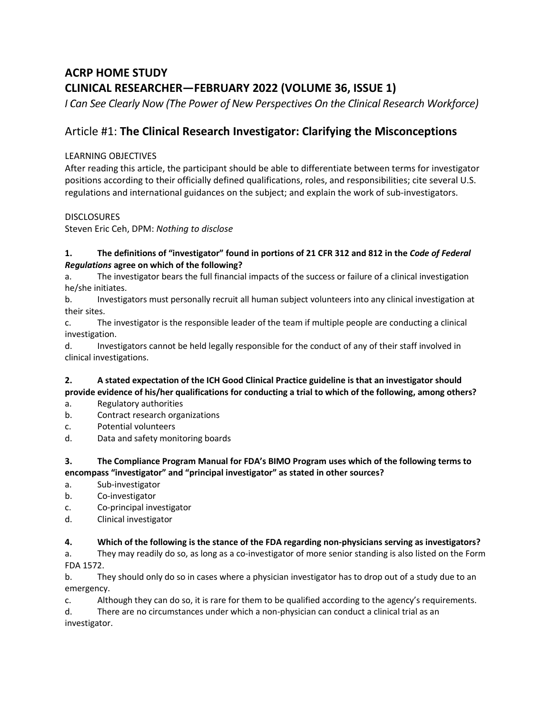# **ACRP HOME STUDY CLINICAL RESEARCHER—FEBRUARY 2022 (VOLUME 36, ISSUE 1)**

I Can See Clearly Now (The Power of New Perspectives On the Clinical Research Workforce)

## Article #1: **The Clinical Research Investigator: Clarifying the Misconceptions**

#### LEARNING OBJECTIVES

After reading this article, the participant should be able to differentiate between terms for investigator positions according to their officially defined qualifications, roles, and responsibilities; cite several U.S. regulations and international guidances on the subject; and explain the work of sub-investigators.

#### **DISCLOSURES**

Steven Eric Ceh, DPM: *Nothing to disclose*

#### **1. The definitions of "investigator" found in portions of 21 CFR 312 and 812 in the** *Code of Federal Regulations* **agree on which of the following?**

a. The investigator bears the full financial impacts of the success or failure of a clinical investigation he/she initiates.

b. Investigators must personally recruit all human subject volunteers into any clinical investigation at their sites.

c. The investigator is the responsible leader of the team if multiple people are conducting a clinical investigation.

d. Investigators cannot be held legally responsible for the conduct of any of their staff involved in clinical investigations.

#### **2. A stated expectation of the ICH Good Clinical Practice guideline is that an investigator should provide evidence of his/her qualifications for conducting a trial to which of the following, among others?**

- a. Regulatory authorities
- b. Contract research organizations
- c. Potential volunteers
- d. Data and safety monitoring boards

#### **3. The Compliance Program Manual for FDA's BIMO Program uses which of the following terms to encompass "investigator" and "principal investigator" as stated in other sources?**

- a. Sub-investigator
- b. Co-investigator
- c. Co-principal investigator
- d. Clinical investigator

#### **4. Which of the following is the stance of the FDA regarding non-physicians serving as investigators?**

a. They may readily do so, as long as a co-investigator of more senior standing is also listed on the Form FDA 1572.

b. They should only do so in cases where a physician investigator has to drop out of a study due to an emergency.

c. Although they can do so, it is rare for them to be qualified according to the agency's requirements.

d. There are no circumstances under which a non-physician can conduct a clinical trial as an investigator.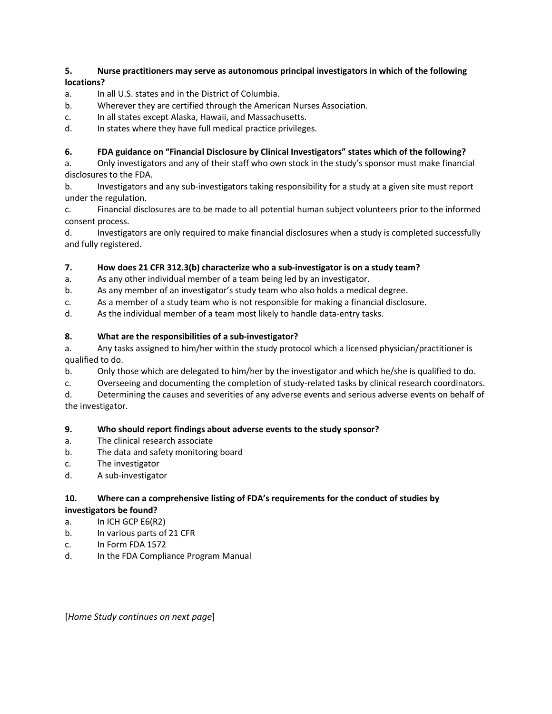#### **5. Nurse practitioners may serve as autonomous principal investigators in which of the following locations?**

- a. In all U.S. states and in the District of Columbia.
- b. Wherever they are certified through the American Nurses Association.
- c. In all states except Alaska, Hawaii, and Massachusetts.
- d. In states where they have full medical practice privileges.

#### **6. FDA guidance on "Financial Disclosure by Clinical Investigators" states which of the following?**

a. Only investigators and any of their staff who own stock in the study's sponsor must make financial disclosures to the FDA.

b. Investigators and any sub-investigators taking responsibility for a study at a given site must report under the regulation.

c. Financial disclosures are to be made to all potential human subject volunteers prior to the informed consent process.

d. Investigators are only required to make financial disclosures when a study is completed successfully and fully registered.

#### **7. How does 21 CFR 312.3(b) characterize who a sub-investigator is on a study team?**

a. As any other individual member of a team being led by an investigator.

- b. As any member of an investigator's study team who also holds a medical degree.
- c. As a member of a study team who is not responsible for making a financial disclosure.

d. As the individual member of a team most likely to handle data-entry tasks.

#### **8. What are the responsibilities of a sub-investigator?**

a. Any tasks assigned to him/her within the study protocol which a licensed physician/practitioner is qualified to do.

- b. Only those which are delegated to him/her by the investigator and which he/she is qualified to do.
- c. Overseeing and documenting the completion of study-related tasks by clinical research coordinators.

d. Determining the causes and severities of any adverse events and serious adverse events on behalf of the investigator.

#### **9. Who should report findings about adverse events to the study sponsor?**

- a. The clinical research associate
- b. The data and safety monitoring board
- c. The investigator
- d. A sub-investigator

#### **10. Where can a comprehensive listing of FDA's requirements for the conduct of studies by investigators be found?**

- a. In ICH GCP E6(R2)
- b. In various parts of 21 CFR
- c. In Form FDA 1572
- d. In the FDA Compliance Program Manual

[*Home Study continues on next page*]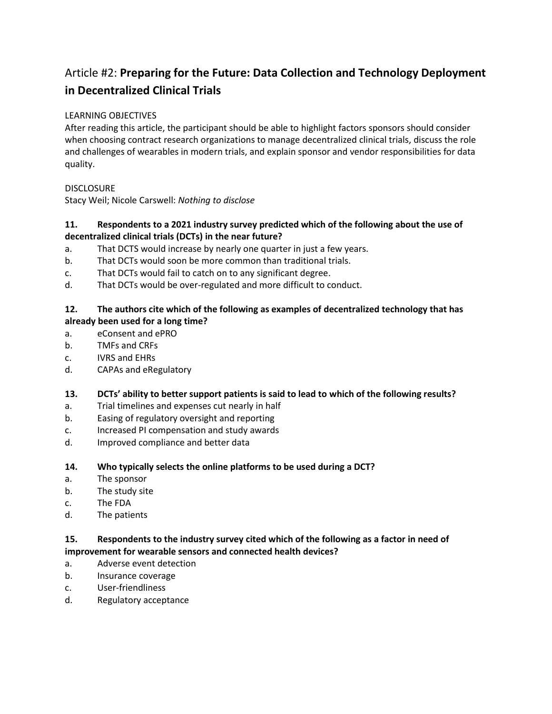# Article #2: **Preparing for the Future: Data Collection and Technology Deployment in Decentralized Clinical Trials**

#### LEARNING OBJECTIVES

After reading this article, the participant should be able to highlight factors sponsors should consider when choosing contract research organizations to manage decentralized clinical trials, discuss the role and challenges of wearables in modern trials, and explain sponsor and vendor responsibilities for data quality.

#### **DISCLOSURE**

Stacy Weil; Nicole Carswell: *Nothing to disclose*

#### **11. Respondents to a 2021 industry survey predicted which of the following about the use of decentralized clinical trials (DCTs) in the near future?**

- a. That DCTS would increase by nearly one quarter in just a few years.
- b. That DCTs would soon be more common than traditional trials.
- c. That DCTs would fail to catch on to any significant degree.
- d. That DCTs would be over-regulated and more difficult to conduct.

#### **12. The authors cite which of the following as examples of decentralized technology that has already been used for a long time?**

- a. eConsent and ePRO
- b. TMFs and CRFs
- c. IVRS and EHRs
- d. CAPAs and eRegulatory

#### **13. DCTs' ability to better support patients is said to lead to which of the following results?**

- a. Trial timelines and expenses cut nearly in half
- b. Easing of regulatory oversight and reporting
- c. Increased PI compensation and study awards
- d. Improved compliance and better data

#### **14. Who typically selects the online platforms to be used during a DCT?**

- a. The sponsor
- b. The study site
- c. The FDA
- d. The patients

#### **15. Respondents to the industry survey cited which of the following as a factor in need of improvement for wearable sensors and connected health devices?**

- a. Adverse event detection
- b. Insurance coverage
- c. User-friendliness
- d. Regulatory acceptance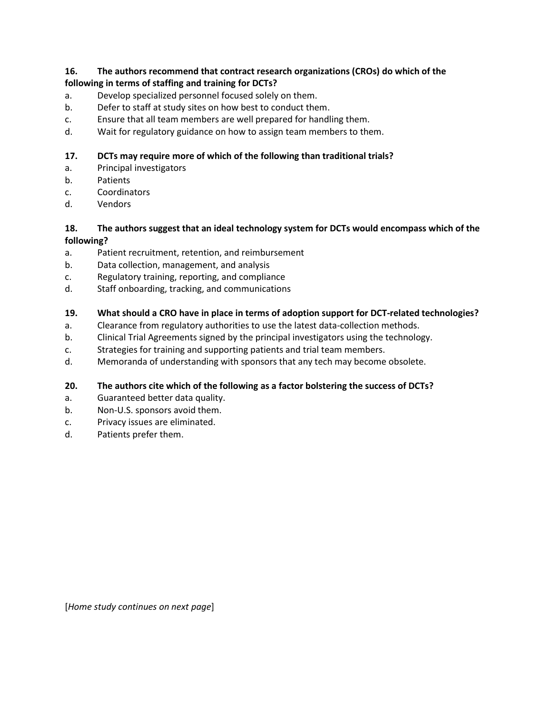#### **16. The authors recommend that contract research organizations (CROs) do which of the following in terms of staffing and training for DCTs?**

- a. Develop specialized personnel focused solely on them.
- b. Defer to staff at study sites on how best to conduct them.
- c. Ensure that all team members are well prepared for handling them.
- d. Wait for regulatory guidance on how to assign team members to them.

#### **17. DCTs may require more of which of the following than traditional trials?**

- a. Principal investigators
- b. Patients
- c. Coordinators
- d. Vendors

#### **18. The authors suggest that an ideal technology system for DCTs would encompass which of the following?**

- a. Patient recruitment, retention, and reimbursement
- b. Data collection, management, and analysis
- c. Regulatory training, reporting, and compliance
- d. Staff onboarding, tracking, and communications

#### **19. What should a CRO have in place in terms of adoption support for DCT-related technologies?**

- a. Clearance from regulatory authorities to use the latest data-collection methods.
- b. Clinical Trial Agreements signed by the principal investigators using the technology.
- c. Strategies for training and supporting patients and trial team members.
- d. Memoranda of understanding with sponsors that any tech may become obsolete.

#### **20. The authors cite which of the following as a factor bolstering the success of DCTs?**

- a. Guaranteed better data quality.
- b. Non-U.S. sponsors avoid them.
- c. Privacy issues are eliminated.
- d. Patients prefer them.

[*Home study continues on next page*]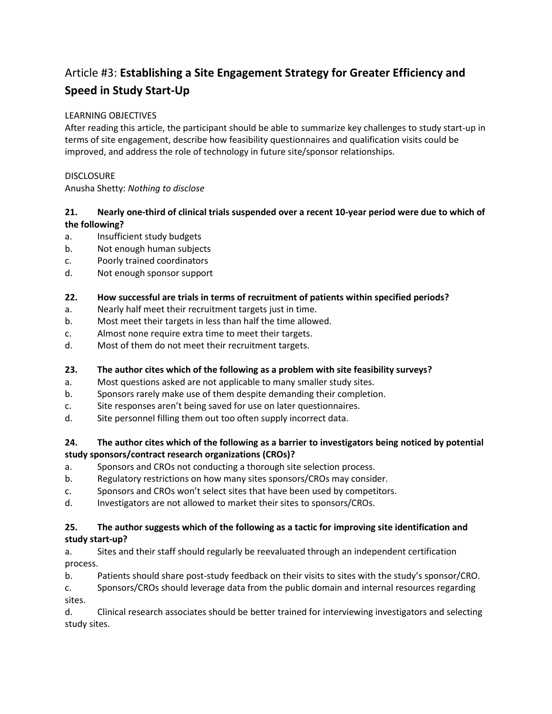# Article #3: **Establishing a Site Engagement Strategy for Greater Efficiency and Speed in Study Start-Up**

#### LEARNING OBJECTIVES

After reading this article, the participant should be able to summarize key challenges to study start-up in terms of site engagement, describe how feasibility questionnaires and qualification visits could be improved, and address the role of technology in future site/sponsor relationships.

#### **DISCLOSURE**

Anusha Shetty: *Nothing to disclose*

#### **21. Nearly one-third of clinical trials suspended over a recent 10-year period were due to which of the following?**

- a. Insufficient study budgets
- b. Not enough human subjects
- c. Poorly trained coordinators
- d. Not enough sponsor support

#### **22. How successful are trials in terms of recruitment of patients within specified periods?**

- a. Nearly half meet their recruitment targets just in time.
- b. Most meet their targets in less than half the time allowed.
- c. Almost none require extra time to meet their targets.
- d. Most of them do not meet their recruitment targets.

### **23. The author cites which of the following as a problem with site feasibility surveys?**

- a. Most questions asked are not applicable to many smaller study sites.
- b. Sponsors rarely make use of them despite demanding their completion.
- c. Site responses aren't being saved for use on later questionnaires.
- d. Site personnel filling them out too often supply incorrect data.

#### **24. The author cites which of the following as a barrier to investigators being noticed by potential study sponsors/contract research organizations (CROs)?**

- a. Sponsors and CROs not conducting a thorough site selection process.
- b. Regulatory restrictions on how many sites sponsors/CROs may consider.
- c. Sponsors and CROs won't select sites that have been used by competitors.
- d. Investigators are not allowed to market their sites to sponsors/CROs.

#### **25. The author suggests which of the following as a tactic for improving site identification and study start-up?**

a. Sites and their staff should regularly be reevaluated through an independent certification process.

b. Patients should share post-study feedback on their visits to sites with the study's sponsor/CRO.

c. Sponsors/CROs should leverage data from the public domain and internal resources regarding sites.

d. Clinical research associates should be better trained for interviewing investigators and selecting study sites.